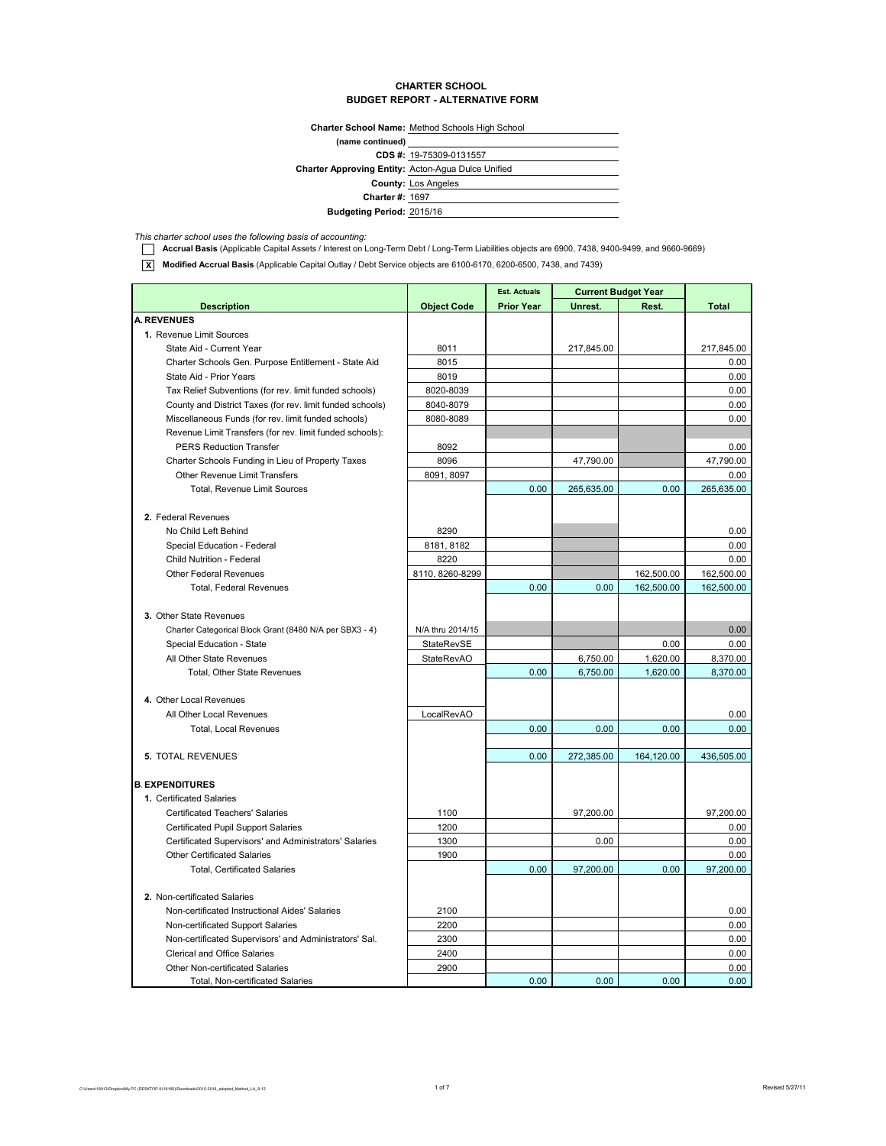#### **CHARTER SCHOOL BUDGET REPORT - ALTERNATIVE FORM**

**Charter School Name:** Method Schools High School

| (name continued)                                          |                            |
|-----------------------------------------------------------|----------------------------|
|                                                           | CDS #: 19-75309-0131557    |
| <b>Charter Approving Entity: Acton-Agua Dulce Unified</b> |                            |
|                                                           | <b>County: Los Angeles</b> |
| <b>Charter #: 1697</b>                                    |                            |
| <b>Budgeting Period: 2015/16</b>                          |                            |
|                                                           |                            |

*This charter school uses the following basis of accounting:*

**TE Accrual Basis** (Applicable Capital Assets / Interest on Long-Term Debt / Long-Term Liabilities objects are 6900, 7438, 9400-9499, and 9660-9669)

**X Modified Accrual Basis** (Applicable Capital Outlay / Debt Service objects are 6100-6170, 6200-6500, 7438, and 7439)

|                                                           | <b>Current Budget Year</b><br><b>Est. Actuals</b> |                   |            |            |              |
|-----------------------------------------------------------|---------------------------------------------------|-------------------|------------|------------|--------------|
| <b>Description</b>                                        | <b>Object Code</b>                                | <b>Prior Year</b> | Unrest.    | Rest.      | <b>Total</b> |
| <b>A. REVENUES</b>                                        |                                                   |                   |            |            |              |
| 1. Revenue Limit Sources                                  |                                                   |                   |            |            |              |
| State Aid - Current Year                                  | 8011                                              |                   | 217,845.00 |            | 217,845.00   |
| Charter Schools Gen. Purpose Entitlement - State Aid      | 8015                                              |                   |            |            | 0.00         |
| State Aid - Prior Years                                   | 8019                                              |                   |            |            | 0.00         |
| Tax Relief Subventions (for rev. limit funded schools)    | 8020-8039                                         |                   |            |            | 0.00         |
| County and District Taxes (for rev. limit funded schools) | 8040-8079                                         |                   |            |            | 0.00         |
| Miscellaneous Funds (for rev. limit funded schools)       | 8080-8089                                         |                   |            |            | 0.00         |
| Revenue Limit Transfers (for rev. limit funded schools):  |                                                   |                   |            |            |              |
| <b>PERS Reduction Transfer</b>                            | 8092                                              |                   |            |            | 0.00         |
| Charter Schools Funding in Lieu of Property Taxes         | 8096                                              |                   | 47,790.00  |            | 47,790.00    |
| <b>Other Revenue Limit Transfers</b>                      | 8091, 8097                                        |                   |            |            | 0.00         |
| Total, Revenue Limit Sources                              |                                                   | 0.00              | 265,635.00 | 0.00       | 265,635.00   |
|                                                           |                                                   |                   |            |            |              |
| 2. Federal Revenues                                       |                                                   |                   |            |            |              |
| No Child Left Behind                                      | 8290                                              |                   |            |            | 0.00         |
| Special Education - Federal                               | 8181, 8182                                        |                   |            |            | 0.00         |
| Child Nutrition - Federal                                 | 8220                                              |                   |            |            | 0.00         |
| <b>Other Federal Revenues</b>                             | 8110, 8260-8299                                   |                   |            | 162,500.00 | 162,500.00   |
| <b>Total, Federal Revenues</b>                            |                                                   | 0.00              | 0.00       | 162,500.00 | 162,500.00   |
|                                                           |                                                   |                   |            |            |              |
| 3. Other State Revenues                                   |                                                   |                   |            |            |              |
| Charter Categorical Block Grant (8480 N/A per SBX3 - 4)   | N/A thru 2014/15                                  |                   |            |            | 0.00         |
| Special Education - State                                 | StateRevSE                                        |                   |            | 0.00       | 0.00         |
| All Other State Revenues                                  | <b>StateRevAO</b>                                 |                   | 6,750.00   | 1,620.00   | 8,370.00     |
| Total, Other State Revenues                               |                                                   | 0.00              | 6,750.00   | 1,620.00   | 8,370.00     |
|                                                           |                                                   |                   |            |            |              |
| 4. Other Local Revenues                                   |                                                   |                   |            |            |              |
| All Other Local Revenues                                  | LocalRevAO                                        |                   |            |            | 0.00         |
| Total, Local Revenues                                     |                                                   | 0.00              | 0.00       | 0.00       | 0.00         |
|                                                           |                                                   |                   |            |            |              |
| 5. TOTAL REVENUES                                         |                                                   | 0.00              | 272,385.00 | 164,120.00 | 436,505.00   |
|                                                           |                                                   |                   |            |            |              |
| <b>B. EXPENDITURES</b>                                    |                                                   |                   |            |            |              |
| 1. Certificated Salaries                                  |                                                   |                   |            |            |              |
| <b>Certificated Teachers' Salaries</b>                    | 1100                                              |                   | 97,200.00  |            | 97,200.00    |
| <b>Certificated Pupil Support Salaries</b>                | 1200                                              |                   |            |            | 0.00         |
| Certificated Supervisors' and Administrators' Salaries    | 1300                                              |                   | 0.00       |            | 0.00         |
| <b>Other Certificated Salaries</b>                        | 1900                                              |                   |            |            | 0.00         |
| <b>Total, Certificated Salaries</b>                       |                                                   | 0.00              | 97,200.00  | 0.00       | 97.200.00    |
|                                                           |                                                   |                   |            |            |              |
| 2. Non-certificated Salaries                              |                                                   |                   |            |            |              |
| Non-certificated Instructional Aides' Salaries            | 2100                                              |                   |            |            | 0.00         |
| Non-certificated Support Salaries                         | 2200                                              |                   |            |            | 0.00         |
| Non-certificated Supervisors' and Administrators' Sal.    | 2300                                              |                   |            |            | 0.00         |
| <b>Clerical and Office Salaries</b>                       | 2400                                              |                   |            |            | 0.00         |
| <b>Other Non-certificated Salaries</b>                    | 2900                                              |                   |            |            | 0.00         |
| Total, Non-certificated Salaries                          |                                                   | 0.00              | 0.00       | 0.00       | 0.00         |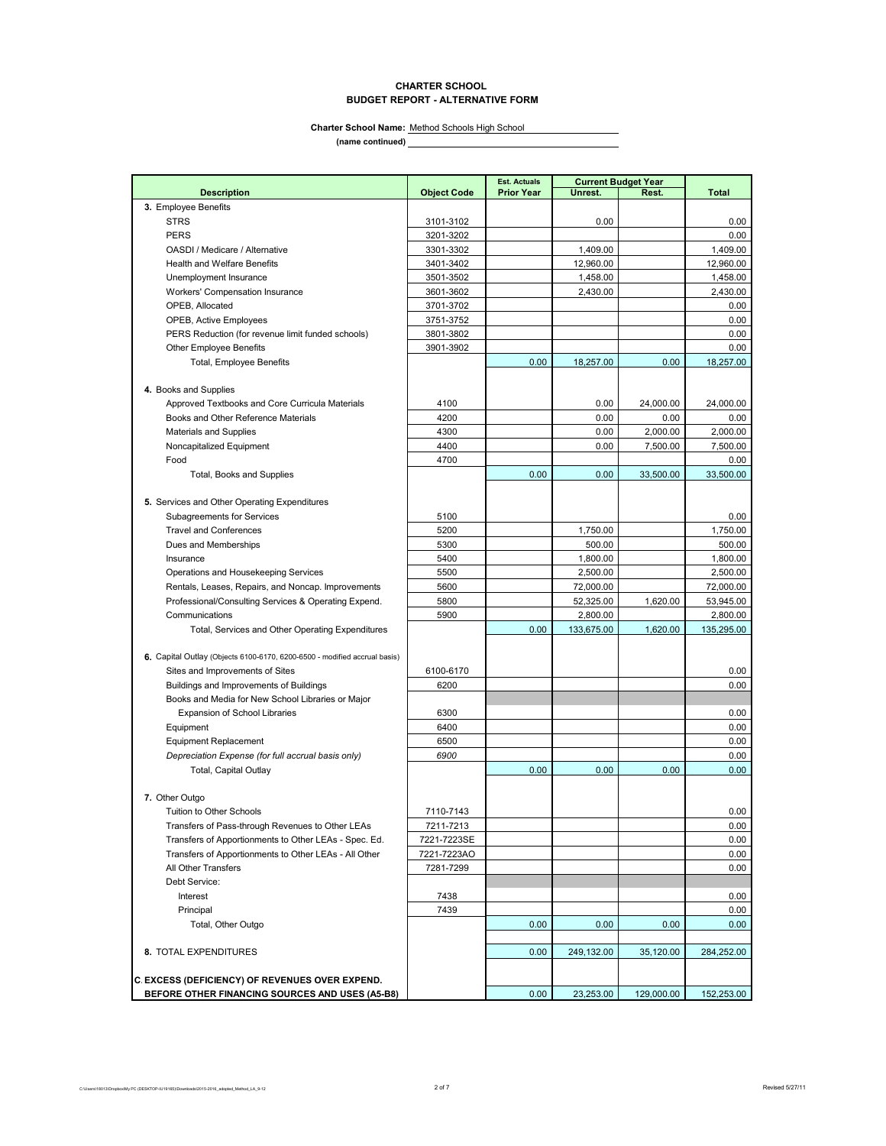#### **CHARTER SCHOOL BUDGET REPORT - ALTERNATIVE FORM**

**Charter School Name:** Method Schools High School

**(name continued)**

**Est. Actuals Description Description Object Code Prior Year Unrest. Rest. Rest. Total 3.** Employee Benefits STRS 3101-3102 0.00 0.00 PERS 3201-3202 0.00 00001/Medicare / Alternative 1,409.00 1,409.00 1,409.00 1,409.00 1,409.00 1,409.00 1,409.00 1,409.00 1,409.00 1,5960.00 1,5960.00 1,5960.00 1,5960.00 1,5960.00 1,5960.00 1,5960.00 1,5960.00 1,5960.00 1,5960.00 1,5960.00 1, Health and Welfare Benefits Unemployment Insurance 1,458.00 1,458.00 1,458.00 1,458.00 1,458.00 1,458.00 1,458.00 1,458.00 1,458.00 1,458.00 1,458.00 1,458.00 1,458.00 1,458.00 1,458.00 1,458.00 1,458.00 1,458.00 1,458.00 1,458.00 1,458.00 1,458.00 1 Workers' Compensation Insurance 2,430.00 2,430.00 2,430.00 2,430.00 2,430.00 2,430.00 2,430.00 2,430.00 2,430.00 2,430.00 2,430.00 2,430.00 2,430.00 2,430.00 2,430.00 2,430.00 2,430.00 2,430.00 2,430.00 2,430.00 2,430.00 2 OPEB, Allocated 3701-3702 **0.000 0.000 0.000 0.000 0.000 0.000 0.000** 0.000 0.000 0.000 0.000 0.000 0.000 0.000 0 OPEB, Active Employees 3751-3752 0.00 PERS Reduction (for revenue limit funded schools) Other Employee Benefits 3901-3902 0.00 Total, Employee Benefits **18,257.00** 18,257.00 0.00 18,257.00 0.00 18,257.00 **4.** Books and Supplies Approved Textbooks and Core Curricula Materials 1998 1000 1000 1000 24,000.00 24,000.00 24,000.00 Books and Other Reference Materials **1990** 1200 0.00 0.00 0.00 0.00 0.00 0.00 Materials and Supplies **1998** 12,000.00 **0.000 12,000.00** 13,000.00 **2,000.00** 2,000.00 Noncapitalized Equipment 4400 0.00 7,500.00 7,500.00 Food 4700 0.00 Total, Books and Supplies 0.00 0.00 33,500.00 33,500.00 **5.** Services and Other Operating Expenditures Subagreements for Services and the State of Services 5100 0.000 0.000 0.000 0.000 0.000 0.000 0.000 0.000 0.00 Travel and Conferences **1,750.00** 1,750.00 1,750.00 1,750.00 1,750.00 1,750.00 1,750.00 1,750.00 1,750.00 1,750.00 1,750.00 1,750.00 1,1750.00 1,1750.00 1,1750.00 1,1750.00 1,1750.00 1,1750.00 1,1750.00 1,1750.00 1,1750.00 Dues and Memberships 600.00 **First and Solution Contract Contract Contract Contract Contract Contract Contract Contract Contract Contract Contract Contract Contract Contract Contract Contract Contract Contract Contract Con** Insurance 1,800.00 1,800.00 1,800.00 1,800.00 1,800.00 1,800.00 1,800.00 1,800.00 1,800.00 1,800.00 1,800.00 1,800.00 1,800.00 1,800.00 1,800.00 1,800.00 1,800.00 1,800.00 1,800.00 1,800.00 1,800.00 1,800.00 1,800.00 1,800 Operations and Housekeeping Services 1990 100 2,500.00 2,500.00 2,500.00 2,500.00 Rentals, Leases, Repairs, and Noncap. Improvements 6600 72,000.00 72,000.00 72,000.00 Professional/Consulting Services & Operating Expend. 5800 52,325.00 1,620.00 53,945.00 Communications 2,800.00 2,800.00 2,800.00 2,800.00 2,800.00 2,800.00 2,800.00 2,800.00 2,800.00 2,800.00 2,800 Total, Services and Other Operating Expenditures 1.620.00 | 133,675.00 | 1,620.00 | 135,295.00 **6.** Capital Outlay (Objects 6100-6170, 6200-6500 - modified accrual basis) Sites and Improvements of Sites 6100-6170 0.00 Buildings and Improvements of Buildings **6200** 0.00 Books and Media for New School Libraries or Major Expansion of School Libraries **6300** 6300 0.00 Equipment 6400 0.00 Equipment Replacement 2000 0.00 *Depreciation Expense (for full accrual basis only) 6900* 0.00 Total, Capital Outlay **7.** Other Outgo Tuition to Other Schools **2008**<br>
Transfers of Pass-through Revenues to Other LEAs **2008**<br>
2009 111-7213 0.00 Transfers of Pass-through Revenues to Other LEAs 7211-7213 0.00 Transfers of Apportionments to Other LEAs - Spec. Ed. 7221-7223SE 0.00 Transfers of Apportionments to Other LEAs - All Other 7221-7223AO **0.000** 0.00 All Other Transfers 8 1000 0.00 minutes and the control of the control of the control of the control of the control of the control of the control of the control of the control of the control of the control of the control o Debt Service: Interest 7438 0.00 Principal | 7439 0.00 Total, Other Outgo 0.00 0.00 0.00 0.00 **8.** TOTAL EXPENDITURES 0.00 249,132.00 35,120.00 284,252.00 **C.EXCESS (DEFICIENCY) OF REVENUES OVER EXPEND. BEFORE OTHER FINANCING SOURCES AND USES (A5-B8)** 0.00 23,253.00 129,000.00 152,253.00 **Current Budget Year**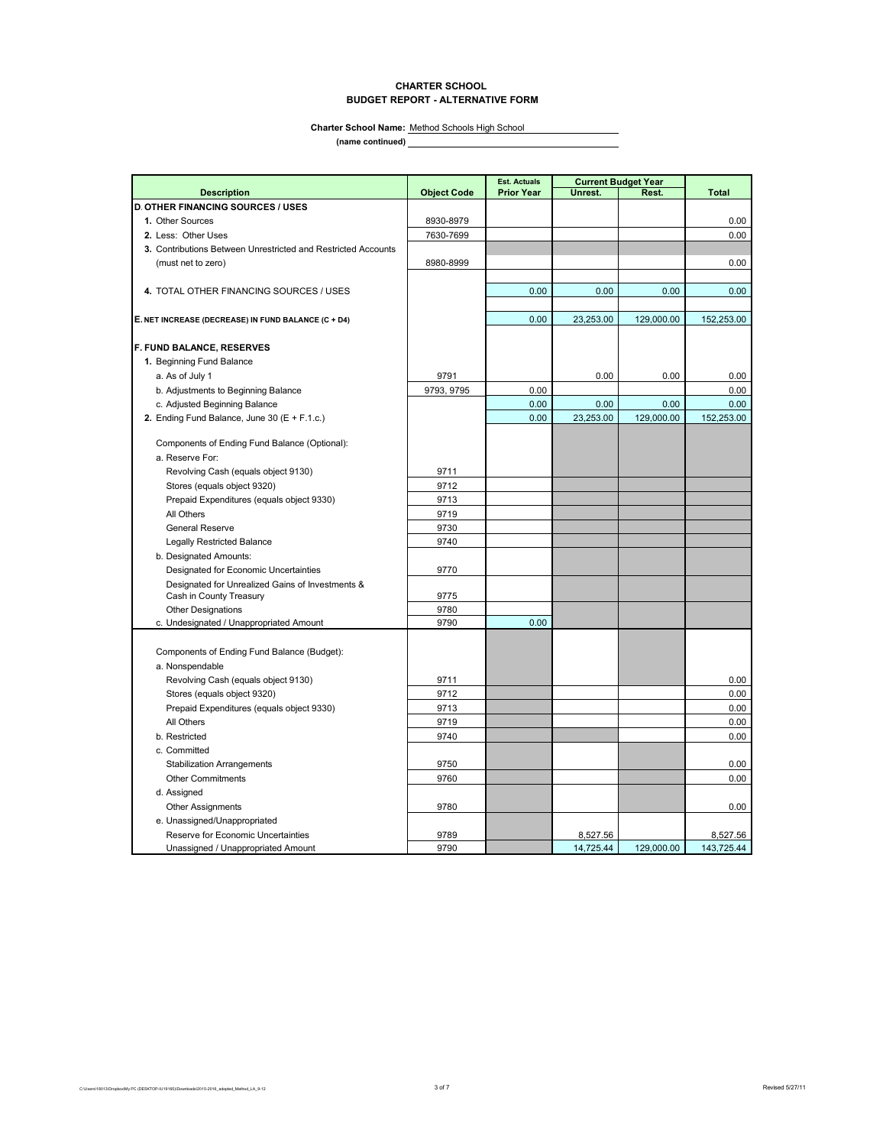### **CHARTER SCHOOL BUDGET REPORT - ALTERNATIVE FORM**

**(name continued) Charter School Name:** Method Schools High School

|                                                                             |                    | <b>Est. Actuals</b> | <b>Current Budget Year</b> |            |              |  |
|-----------------------------------------------------------------------------|--------------------|---------------------|----------------------------|------------|--------------|--|
| <b>Description</b>                                                          | <b>Object Code</b> | <b>Prior Year</b>   | Unrest.                    | Rest.      | <b>Total</b> |  |
| <b>D. OTHER FINANCING SOURCES / USES</b>                                    |                    |                     |                            |            |              |  |
| 1. Other Sources                                                            | 8930-8979          |                     |                            |            | 0.00         |  |
| 2. Less: Other Uses                                                         | 7630-7699          |                     |                            |            | 0.00         |  |
| 3. Contributions Between Unrestricted and Restricted Accounts               |                    |                     |                            |            |              |  |
| (must net to zero)                                                          | 8980-8999          |                     |                            |            | 0.00         |  |
|                                                                             |                    |                     |                            |            |              |  |
| 4. TOTAL OTHER FINANCING SOURCES / USES                                     |                    | 0.00                | 0.00                       | 0.00       | 0.00         |  |
|                                                                             |                    |                     |                            |            |              |  |
| E. NET INCREASE (DECREASE) IN FUND BALANCE (C + D4)                         |                    | 0.00                | 23,253.00                  | 129,000.00 | 152,253.00   |  |
|                                                                             |                    |                     |                            |            |              |  |
| <b>F. FUND BALANCE, RESERVES</b>                                            |                    |                     |                            |            |              |  |
| 1. Beginning Fund Balance                                                   |                    |                     |                            |            |              |  |
| a. As of July 1                                                             | 9791               |                     | 0.00                       | 0.00       | 0.00         |  |
| b. Adjustments to Beginning Balance                                         | 9793, 9795         | 0.00                |                            |            | 0.00         |  |
| c. Adjusted Beginning Balance                                               |                    | 0.00                | 0.00                       | 0.00       | 0.00         |  |
| 2. Ending Fund Balance, June 30 (E + F.1.c.)                                |                    | 0.00                | 23,253.00                  | 129,000.00 | 152,253.00   |  |
|                                                                             |                    |                     |                            |            |              |  |
| Components of Ending Fund Balance (Optional):                               |                    |                     |                            |            |              |  |
| a. Reserve For:                                                             |                    |                     |                            |            |              |  |
| Revolving Cash (equals object 9130)                                         | 9711               |                     |                            |            |              |  |
| Stores (equals object 9320)                                                 | 9712               |                     |                            |            |              |  |
| Prepaid Expenditures (equals object 9330)                                   | 9713               |                     |                            |            |              |  |
| All Others                                                                  | 9719               |                     |                            |            |              |  |
| <b>General Reserve</b>                                                      | 9730               |                     |                            |            |              |  |
| <b>Legally Restricted Balance</b>                                           | 9740               |                     |                            |            |              |  |
| b. Designated Amounts:                                                      |                    |                     |                            |            |              |  |
| Designated for Economic Uncertainties                                       | 9770               |                     |                            |            |              |  |
| Designated for Unrealized Gains of Investments &<br>Cash in County Treasury | 9775               |                     |                            |            |              |  |
| <b>Other Designations</b>                                                   | 9780               |                     |                            |            |              |  |
| c. Undesignated / Unappropriated Amount                                     | 9790               | 0.00                |                            |            |              |  |
|                                                                             |                    |                     |                            |            |              |  |
| Components of Ending Fund Balance (Budget):                                 |                    |                     |                            |            |              |  |
| a. Nonspendable                                                             |                    |                     |                            |            |              |  |
| Revolving Cash (equals object 9130)                                         | 9711               |                     |                            |            | 0.00         |  |
| Stores (equals object 9320)                                                 | 9712               |                     |                            |            | 0.00         |  |
| Prepaid Expenditures (equals object 9330)                                   | 9713               |                     |                            |            | 0.00         |  |
| All Others                                                                  | 9719               |                     |                            |            | 0.00         |  |
| b. Restricted                                                               | 9740               |                     |                            |            | 0.00         |  |
| c. Committed                                                                |                    |                     |                            |            |              |  |
| <b>Stabilization Arrangements</b>                                           | 9750               |                     |                            |            | 0.00         |  |
| <b>Other Commitments</b>                                                    | 9760               |                     |                            |            | 0.00         |  |
| d. Assigned                                                                 |                    |                     |                            |            |              |  |
| <b>Other Assignments</b>                                                    | 9780               |                     |                            |            | 0.00         |  |
| e. Unassigned/Unappropriated                                                |                    |                     |                            |            |              |  |
| Reserve for Economic Uncertainties                                          | 9789               |                     | 8,527.56                   |            | 8,527.56     |  |
| Unassigned / Unappropriated Amount                                          | 9790               |                     | 14,725.44                  | 129,000.00 | 143,725.44   |  |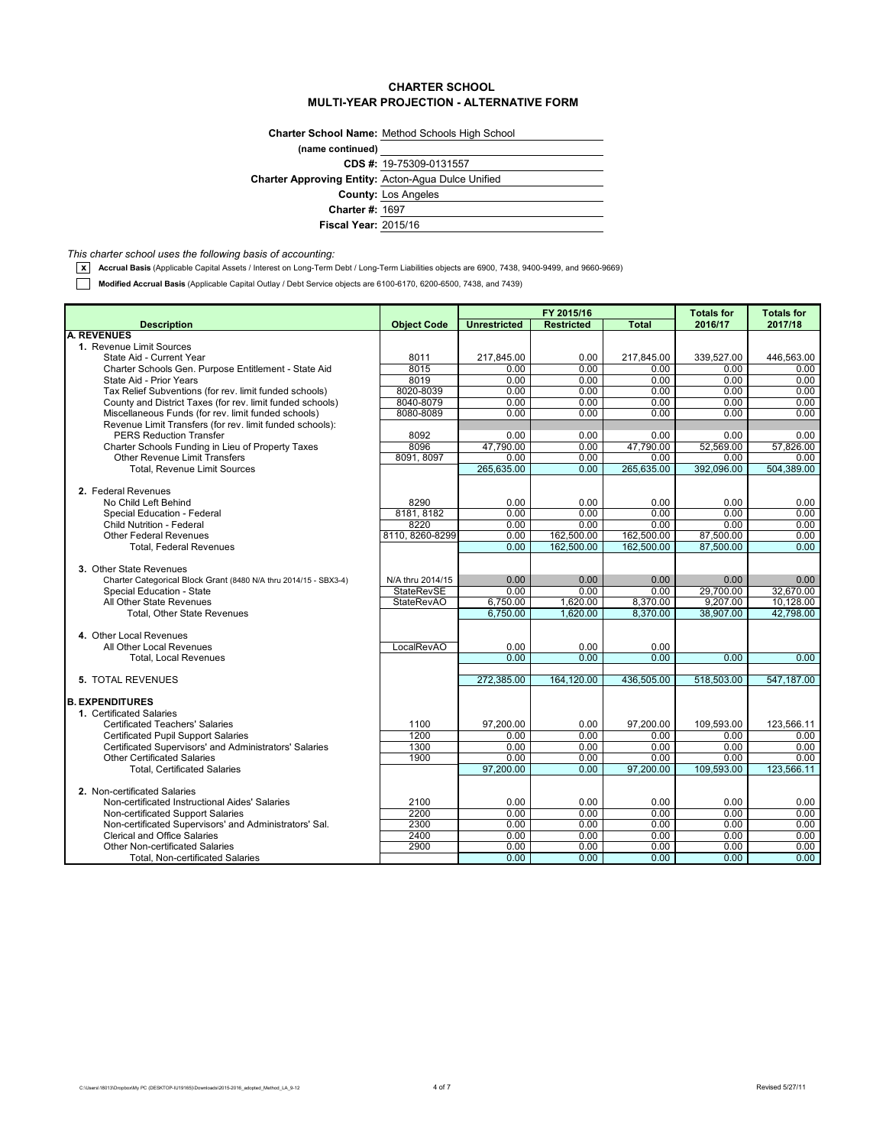### **CHARTER SCHOOL MULTI-YEAR PROJECTION - ALTERNATIVE FORM**

|                                                           | <b>Charter School Name: Method Schools High School</b> |  |  |  |
|-----------------------------------------------------------|--------------------------------------------------------|--|--|--|
| (name continued)                                          |                                                        |  |  |  |
|                                                           | CDS #: $19-75309-0131557$                              |  |  |  |
| <b>Charter Approving Entity: Acton-Agua Dulce Unified</b> |                                                        |  |  |  |
|                                                           | <b>County: Los Angeles</b>                             |  |  |  |
| <b>Charter #: 1697</b>                                    |                                                        |  |  |  |
| <b>Fiscal Year: 2015/16</b>                               |                                                        |  |  |  |

*This charter school uses the following basis of accounting:*

**x** Accrual Basis (Applicable Capital Assets / Interest on Long-Term Debt / Long-Term Liabilities objects are 6900, 7438, 9400-9499, and 9660-9669)

**Modified Accrual Basis** (Applicable Capital Outlay / Debt Service objects are 6100-6170, 6200-6500, 7438, and 7439)

|                                                                                 |                    | FY 2015/16          |                   |              | <b>Totals for</b> | <b>Totals for</b> |
|---------------------------------------------------------------------------------|--------------------|---------------------|-------------------|--------------|-------------------|-------------------|
| <b>Description</b>                                                              | <b>Object Code</b> | <b>Unrestricted</b> | <b>Restricted</b> | <b>Total</b> | 2016/17           | 2017/18           |
| <b>A. REVENUES</b>                                                              |                    |                     |                   |              |                   |                   |
| 1. Revenue Limit Sources                                                        |                    |                     |                   |              |                   |                   |
| State Aid - Current Year                                                        | 8011               | 217,845.00          | 0.00              | 217,845.00   | 339,527.00        | 446,563.00        |
| Charter Schools Gen. Purpose Entitlement - State Aid<br>State Aid - Prior Years | 8015<br>8019       | 0.00<br>0.00        | 0.00<br>0.00      | 0.00<br>0.00 | 0.00<br>0.00      | 0.00<br>0.00      |
| Tax Relief Subventions (for rev. limit funded schools)                          | 8020-8039          | 0.00                | 0.00              | 0.00         | 0.00              | 0.00              |
| County and District Taxes (for rev. limit funded schools)                       | 8040-8079          | 0.00                | 0.00              | 0.00         | 0.00              | 0.00              |
| Miscellaneous Funds (for rev. limit funded schools)                             | 8080-8089          | 0.00                | 0.00              | 0.00         | 0.00              | 0.00              |
| Revenue Limit Transfers (for rev. limit funded schools):                        |                    |                     |                   |              |                   |                   |
| <b>PERS Reduction Transfer</b>                                                  | 8092               | 0.00                | 0.00              | 0.00         | 0.00              | 0.00              |
| Charter Schools Funding in Lieu of Property Taxes                               | 8096               | 47,790.00           | 0.00              | 47,790.00    | 52,569.00         | 57,826.00         |
| <b>Other Revenue Limit Transfers</b>                                            | 8091, 8097         | 0.00                | 0.00              | 0.00         | 0.00              | 0.00              |
| <b>Total. Revenue Limit Sources</b>                                             |                    | 265,635.00          | 0.00              | 265,635.00   | 392,096.00        | 504,389.00        |
|                                                                                 |                    |                     |                   |              |                   |                   |
| 2. Federal Revenues                                                             |                    |                     |                   |              |                   |                   |
| No Child Left Behind                                                            | 8290               | 0.00                | 0.00              | 0.00         | 0.00              | 0.00              |
| Special Education - Federal                                                     | 8181, 8182         | 0.00                | 0.00              | 0.00         | 0.00              | 0.00              |
| <b>Child Nutrition - Federal</b>                                                | 8220               | 0.00                | 0.00              | 0.00         | 0.00              | 0.00              |
| <b>Other Federal Revenues</b>                                                   | 8110.8260-8299     | 0.00                | 162,500.00        | 162,500.00   | 87,500.00         | 0.00              |
| <b>Total, Federal Revenues</b>                                                  |                    | 0.00                | 162.500.00        | 162.500.00   | 87,500.00         | 0.00              |
| 3. Other State Revenues                                                         |                    |                     |                   |              |                   |                   |
| Charter Categorical Block Grant (8480 N/A thru 2014/15 - SBX3-4)                | N/A thru 2014/15   | 0.00                | 0.00              | 0.00         | 0.00              | 0.00              |
| Special Education - State                                                       | <b>StateRevSE</b>  | 0.00                | 0.00              | 0.00         | 29,700.00         | 32,670.00         |
| All Other State Revenues                                                        | <b>StateRevAO</b>  | 6,750.00            | 1,620.00          | 8,370.00     | 9,207.00          | 10,128.00         |
| <b>Total, Other State Revenues</b>                                              |                    | 6,750.00            | 1.620.00          | 8.370.00     | 38.907.00         | 42.798.00         |
|                                                                                 |                    |                     |                   |              |                   |                   |
| 4. Other Local Revenues                                                         |                    |                     |                   |              |                   |                   |
| All Other Local Revenues                                                        | LocalRevAO         | 0.00                | 0.00              | 0.00         |                   |                   |
| <b>Total, Local Revenues</b>                                                    |                    | 0.00                | 0.00              | 0.00         | 0.00              | 0.00              |
|                                                                                 |                    |                     |                   |              |                   |                   |
| <b>5. TOTAL REVENUES</b>                                                        |                    | 272,385.00          | 164,120.00        | 436,505.00   | 518,503.00        | 547.187.00        |
|                                                                                 |                    |                     |                   |              |                   |                   |
| <b>B. EXPENDITURES</b>                                                          |                    |                     |                   |              |                   |                   |
| 1. Certificated Salaries<br><b>Certificated Teachers' Salaries</b>              | 1100               | 97.200.00           | 0.00              | 97.200.00    | 109.593.00        | 123.566.11        |
| <b>Certificated Pupil Support Salaries</b>                                      | 1200               | 0.00                | 0.00              | 0.00         | 0.00              | 0.00              |
| Certificated Supervisors' and Administrators' Salaries                          | 1300               | 0.00                | 0.00              | 0.00         | 0.00              | 0.00              |
| <b>Other Certificated Salaries</b>                                              | 1900               | 0.00                | 0.00              | 0.00         | 0.00              | 0.00              |
| <b>Total. Certificated Salaries</b>                                             |                    | 97,200.00           | 0.00              | 97,200.00    | 109,593.00        | 123,566.11        |
|                                                                                 |                    |                     |                   |              |                   |                   |
| 2. Non-certificated Salaries                                                    |                    |                     |                   |              |                   |                   |
| Non-certificated Instructional Aides' Salaries                                  | 2100               | 0.00                | 0.00              | 0.00         | 0.00              | 0.00              |
| Non-certificated Support Salaries                                               | 2200               | 0.00                | 0.00              | 0.00         | 0.00              | 0.00              |
| Non-certificated Supervisors' and Administrators' Sal.                          | 2300               | 0.00                | 0.00              | 0.00         | 0.00              | 0.00              |
| <b>Clerical and Office Salaries</b>                                             | 2400               | 0.00                | 0.00              | 0.00         | 0.00              | 0.00              |
| <b>Other Non-certificated Salaries</b>                                          | 2900               | 0.00                | 0.00              | 0.00         | 0.00              | 0.00              |
| Total, Non-certificated Salaries                                                |                    | 0.00                | 0.00              | 0.00         | 0.00              | 0.00              |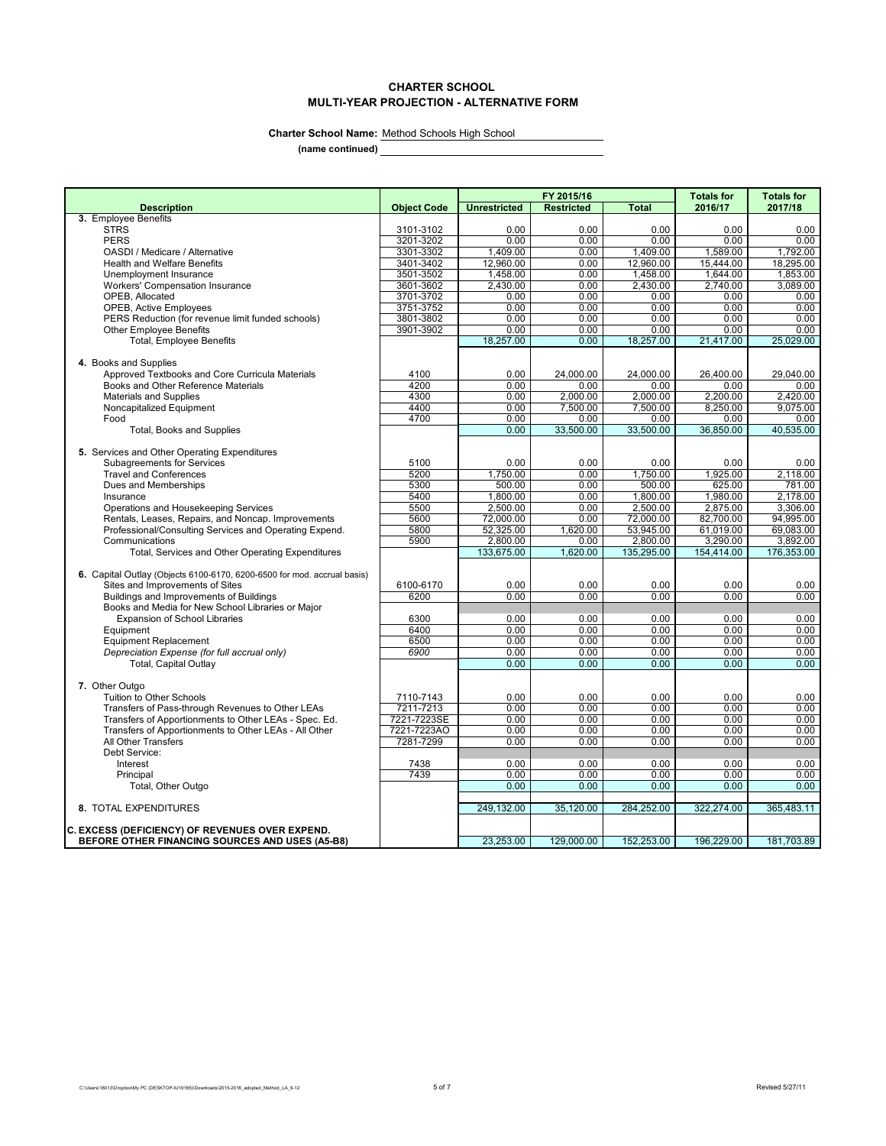# **CHARTER SCHOOL MULTI-YEAR PROJECTION - ALTERNATIVE FORM**

L,

**Charter School Name:** Method Schools High School

**(name continued)**

|                                                                         |                    | FY 2015/16          |                   |              | <b>Totals for</b> | <b>Totals for</b> |
|-------------------------------------------------------------------------|--------------------|---------------------|-------------------|--------------|-------------------|-------------------|
| <b>Description</b>                                                      | <b>Object Code</b> | <b>Unrestricted</b> | <b>Restricted</b> | <b>Total</b> | 2016/17           | 2017/18           |
| 3. Employee Benefits                                                    |                    |                     |                   |              |                   |                   |
| <b>STRS</b>                                                             | 3101-3102          | 0.00                | 0.00              | 0.00         | 0.00              | 0.00              |
| <b>PERS</b>                                                             | 3201-3202          | 0.00                | 0.00              | 0.00         | 0.00              | 0.00              |
| OASDI / Medicare / Alternative                                          | 3301-3302          | 1,409.00            | 0.00              | 1,409.00     | 1,589.00          | 1,792.00          |
| <b>Health and Welfare Benefits</b>                                      | 3401-3402          | 12.960.00           | 0.00              | 12,960.00    | 15.444.00         | 18.295.00         |
| Unemployment Insurance                                                  | 3501-3502          | 1,458.00            | 0.00              | 1,458.00     | 1,644.00          | 1,853.00          |
| <b>Workers' Compensation Insurance</b>                                  | 3601-3602          | 2,430.00            | 0.00              | 2,430.00     | 2,740.00          | 3,089.00          |
| OPEB, Allocated                                                         | 3701-3702          | 0.00                | 0.00              | 0.00         | 0.00              | 0.00              |
| <b>OPEB, Active Employees</b>                                           | 3751-3752          | 0.00                | 0.00              | 0.00         | 0.00              | 0.00              |
| PERS Reduction (for revenue limit funded schools)                       | 3801-3802          | 0.00<br>0.00        | 0.00<br>0.00      | 0.00<br>0.00 | 0.00<br>0.00      | 0.00<br>0.00      |
| <b>Other Employee Benefits</b><br><b>Total, Employee Benefits</b>       | 3901-3902          | 18,257.00           | 0.00              | 18,257.00    | 21,417.00         | 25,029.00         |
|                                                                         |                    |                     |                   |              |                   |                   |
| 4. Books and Supplies                                                   |                    |                     |                   |              |                   |                   |
| Approved Textbooks and Core Curricula Materials                         | 4100               | 0.00                | 24.000.00         | 24,000.00    | 26.400.00         | 29.040.00         |
| Books and Other Reference Materials                                     | 4200               | 0.00                | 0.00              | 0.00         | 0.00              | 0.00              |
| <b>Materials and Supplies</b>                                           | 4300               | 0.00                | 2,000.00          | 2,000.00     | 2,200.00          | 2.420.00          |
| Noncapitalized Equipment                                                | 4400               | 0.00                | 7,500.00          | 7,500.00     | 8,250.00          | 9,075.00          |
| Food                                                                    | 4700               | 0.00                | 0.00              | 0.00         | 0.00              | 0.00              |
| <b>Total, Books and Supplies</b>                                        |                    | 0.00                | 33,500.00         | 33,500.00    | 36,850.00         | 40,535.00         |
|                                                                         |                    |                     |                   |              |                   |                   |
| 5. Services and Other Operating Expenditures                            |                    |                     |                   |              |                   |                   |
| <b>Subagreements for Services</b>                                       | 5100               | 0.00                | 0.00              | 0.00         | 0.00              | 0.00              |
| <b>Travel and Conferences</b>                                           | 5200               | 1,750.00            | 0.00              | 1,750.00     | 1,925.00          | 2,118.00          |
| Dues and Memberships                                                    | 5300               | 500.00              | 0.00              | 500.00       | 625.00            | 781.00            |
| Insurance                                                               | 5400               | 1,800.00            | 0.00              | 1,800.00     | 1,980.00          | 2,178.00          |
| Operations and Housekeeping Services                                    | 5500               | 2,500.00            | 0.00              | 2,500.00     | 2,875.00          | 3,306.00          |
| Rentals, Leases, Repairs, and Noncap. Improvements                      | 5600               | 72,000.00           | 0.00              | 72,000.00    | 82,700.00         | 94,995.00         |
| Professional/Consulting Services and Operating Expend.                  | 5800               | 52,325.00           | 1,620.00          | 53,945.00    | 61,019.00         | 69,083.00         |
| Communications                                                          | 5900               | 2,800.00            | 0.00              | 2,800.00     | 3,290.00          | 3,892.00          |
| Total, Services and Other Operating Expenditures                        |                    | 133,675.00          | 1,620.00          | 135,295.00   | 154,414.00        | 176,353.00        |
|                                                                         |                    |                     |                   |              |                   |                   |
| 6. Capital Outlay (Objects 6100-6170, 6200-6500 for mod. accrual basis) |                    |                     |                   |              |                   |                   |
| Sites and Improvements of Sites                                         | 6100-6170          | 0.00                | 0.00              | 0.00         | 0.00              | 0.00              |
| Buildings and Improvements of Buildings                                 | 6200               | 0.00                | 0.00              | 0.00         | 0.00              | 0.00              |
| Books and Media for New School Libraries or Major                       |                    |                     |                   |              |                   |                   |
| Expansion of School Libraries                                           | 6300               | 0.00                | 0.00              | 0.00         | 0.00              | 0.00              |
| Equipment                                                               | 6400               | 0.00                | 0.00              | 0.00         | 0.00              | 0.00              |
| <b>Equipment Replacement</b>                                            | 6500               | 0.00                | 0.00              | 0.00         | 0.00              | 0.00              |
| Depreciation Expense (for full accrual only)                            | 6900               | 0.00                | 0.00              | 0.00         | 0.00              | 0.00              |
| Total, Capital Outlay                                                   |                    | 0.00                | 0.00              | 0.00         | 0.00              | 0.00              |
|                                                                         |                    |                     |                   |              |                   |                   |
| 7. Other Outgo                                                          |                    |                     |                   |              |                   |                   |
| Tuition to Other Schools                                                | 7110-7143          | 0.00                | 0.00              | 0.00         | 0.00              | 0.00              |
| Transfers of Pass-through Revenues to Other LEAs                        | 7211-7213          | 0.00                | 0.00              | 0.00         | 0.00              | 0.00              |
| Transfers of Apportionments to Other LEAs - Spec. Ed.                   | 7221-7223SE        | 0.00                | 0.00              | 0.00         | 0.00              | 0.00              |
| Transfers of Apportionments to Other LEAs - All Other                   | 7221-7223AO        | 0.00                | 0.00              | 0.00         | 0.00              | 0.00              |
| All Other Transfers                                                     | 7281-7299          | 0.00                | 0.00              | 0.00         | 0.00              | 0.00              |
| Debt Service:                                                           |                    |                     | 0.00              |              | 0.00              |                   |
| Interest                                                                | 7438<br>7439       | 0.00                |                   | 0.00         |                   | 0.00              |
| Principal                                                               |                    | 0.00                | 0.00<br>0.00      | 0.00         | 0.00              | 0.00<br>0.00      |
| Total, Other Outgo                                                      |                    | 0.00                |                   | 0.00         | 0.00              |                   |
| 8. TOTAL EXPENDITURES                                                   |                    | 249,132.00          | 35.120.00         | 284,252.00   | 322.274.00        | 365.483.11        |
|                                                                         |                    |                     |                   |              |                   |                   |
| <b>C. EXCESS (DEFICIENCY) OF REVENUES OVER EXPEND.</b>                  |                    |                     |                   |              |                   |                   |
| BEFORE OTHER FINANCING SOURCES AND USES (A5-B8)                         |                    | 23.253.00           | 129,000.00        | 152,253.00   | 196.229.00        | 181,703.89        |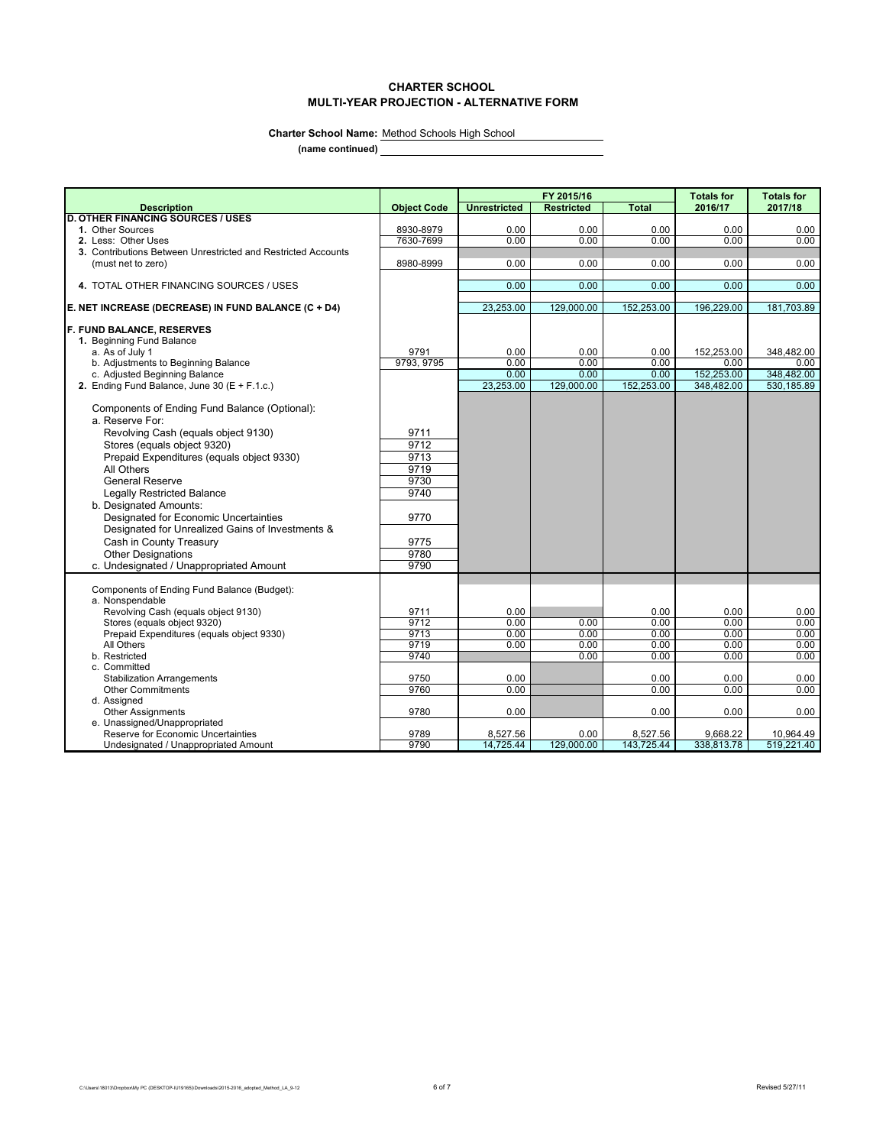# **CHARTER SCHOOL MULTI-YEAR PROJECTION - ALTERNATIVE FORM**

 $\overline{\phantom{a}}$ 

Charter School Name: Method Schools High School

**(name continued)**

|                                                                                      |                    | FY 2015/16            |                    |                        | <b>Totals for</b>      | <b>Totals for</b>       |
|--------------------------------------------------------------------------------------|--------------------|-----------------------|--------------------|------------------------|------------------------|-------------------------|
| <b>Description</b>                                                                   | <b>Object Code</b> | <b>Unrestricted</b>   | <b>Restricted</b>  | <b>Total</b>           | 2016/17                | 2017/18                 |
| <b>D. OTHER FINANCING SOURCES / USES</b>                                             |                    |                       |                    |                        |                        |                         |
| 1. Other Sources                                                                     | 8930-8979          | 0.00                  | 0.00               | 0.00                   | 0.00                   | 0.00                    |
| 2. Less: Other Uses<br>3. Contributions Between Unrestricted and Restricted Accounts | 7630-7699          | 0.00                  | 0.00               | 0.00                   | 0.00                   | 0.00                    |
| (must net to zero)                                                                   | 8980-8999          | 0.00                  | 0.00               | 0.00                   | 0.00                   | 0.00                    |
|                                                                                      |                    |                       |                    |                        |                        |                         |
| 4. TOTAL OTHER FINANCING SOURCES / USES                                              |                    | 0.00                  | 0.00               | 0.00                   | 0.00                   | 0.00                    |
|                                                                                      |                    |                       |                    |                        |                        |                         |
| E. NET INCREASE (DECREASE) IN FUND BALANCE (C + D4)                                  |                    | 23.253.00             | 129,000.00         | 152.253.00             | 196,229.00             | 181,703.89              |
| <b>F. FUND BALANCE, RESERVES</b>                                                     |                    |                       |                    |                        |                        |                         |
| 1. Beginning Fund Balance                                                            |                    |                       |                    |                        |                        |                         |
| a. As of July 1                                                                      | 9791               | 0.00                  | 0.00               | 0.00                   | 152,253.00             | 348,482.00              |
| b. Adjustments to Beginning Balance                                                  | 9793, 9795         | 0.00                  | 0.00               | 0.00                   | 0.00                   | 0.00                    |
| c. Adjusted Beginning Balance                                                        |                    | 0.00                  | 0.00               | 0.00                   | 152,253.00             | 348,482.00              |
| 2. Ending Fund Balance, June 30 ( $E + F.1.c.$ )                                     |                    | 23,253.00             | 129,000.00         | 152,253.00             | 348,482.00             | 530,185.89              |
|                                                                                      |                    |                       |                    |                        |                        |                         |
| Components of Ending Fund Balance (Optional):<br>a. Reserve For:                     |                    |                       |                    |                        |                        |                         |
|                                                                                      |                    |                       |                    |                        |                        |                         |
| Revolving Cash (equals object 9130)                                                  | 9711<br>9712       |                       |                    |                        |                        |                         |
| Stores (equals object 9320)                                                          |                    |                       |                    |                        |                        |                         |
| Prepaid Expenditures (equals object 9330)                                            | 9713               |                       |                    |                        |                        |                         |
| All Others                                                                           | 9719               |                       |                    |                        |                        |                         |
| <b>General Reserve</b>                                                               | 9730               |                       |                    |                        |                        |                         |
| <b>Legally Restricted Balance</b>                                                    | 9740               |                       |                    |                        |                        |                         |
| b. Designated Amounts:                                                               |                    |                       |                    |                        |                        |                         |
| Designated for Economic Uncertainties                                                | 9770               |                       |                    |                        |                        |                         |
| Designated for Unrealized Gains of Investments &                                     |                    |                       |                    |                        |                        |                         |
| Cash in County Treasury                                                              | 9775               |                       |                    |                        |                        |                         |
| <b>Other Designations</b>                                                            | 9780               |                       |                    |                        |                        |                         |
| c. Undesignated / Unappropriated Amount                                              | 9790               |                       |                    |                        |                        |                         |
| Components of Ending Fund Balance (Budget):                                          |                    |                       |                    |                        |                        |                         |
| a. Nonspendable                                                                      |                    |                       |                    |                        |                        |                         |
| Revolving Cash (equals object 9130)                                                  | 9711               | 0.00                  |                    | 0.00                   | 0.00                   | 0.00                    |
| Stores (equals object 9320)                                                          | 9712               | 0.00                  | 0.00               | 0.00                   | 0.00                   | 0.00                    |
| Prepaid Expenditures (equals object 9330)                                            | 9713               | 0.00                  | 0.00               | 0.00                   | 0.00                   | 0.00                    |
| All Others                                                                           | 9719               | 0.00                  | 0.00               | 0.00                   | 0.00                   | 0.00                    |
| b. Restricted                                                                        | 9740               |                       | 0.00               | 0.00                   | 0.00                   | 0.00                    |
| c. Committed                                                                         |                    |                       |                    |                        |                        |                         |
| <b>Stabilization Arrangements</b>                                                    | 9750               | 0.00                  |                    | 0.00                   | 0.00                   | 0.00                    |
| <b>Other Commitments</b>                                                             | 9760               | 0.00                  |                    | 0.00                   | 0.00                   | 0.00                    |
| d. Assigned                                                                          |                    |                       |                    |                        |                        |                         |
| <b>Other Assignments</b>                                                             | 9780               | 0.00                  |                    | 0.00                   | 0.00                   | 0.00                    |
| e. Unassigned/Unappropriated                                                         |                    |                       |                    |                        |                        |                         |
| Reserve for Economic Uncertainties<br>Undesignated / Unappropriated Amount           | 9789<br>9790       | 8,527.56<br>14,725.44 | 0.00<br>129,000.00 | 8,527.56<br>143,725.44 | 9,668.22<br>338,813.78 | 10,964.49<br>519.221.40 |
|                                                                                      |                    |                       |                    |                        |                        |                         |